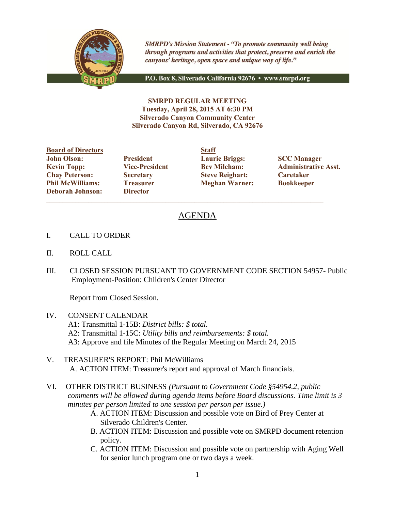

**SMRPD's Mission Statement - "To promote community well being** through programs and activities that protect, preserve and enrich the canyons' heritage, open space and unique way of life."

P.O. Box 8, Silverado California 92676 · www.smrpd.org

**SMRPD REGULAR MEETING Tuesday, April 28, 2015 AT 6:30 PM Silverado Canyon Community Center Silverado Canyon Rd, Silverado, CA 92676**

**Board of Directors Staff John Olson: President Laurie Briggs: SCC Manager Chay Peterson: Secretary Steve Reighart: Caretaker Phil McWilliams: Treasurer Meghan Warner: Bookkeeper Deborah Johnson: Director**

**Kevin Topp: Vice-President Bev Mileham: Administrative Asst.**

# AGENDA

- I. CALL TO ORDER
- II. ROLL CALL
- III. CLOSED SESSION PURSUANT TO GOVERNMENT CODE SECTION 54957- Public Employment-Position: Children's Center Director

Report from Closed Session.

- IV. CONSENT CALENDAR A1: Transmittal 1-15B: *District bills: \$ total.* A2: Transmittal 1-15C: *Utility bills and reimbursements: \$ total.* A3: Approve and file Minutes of the Regular Meeting on March 24, 2015
- V. TREASURER'S REPORT: Phil McWilliams A. ACTION ITEM: Treasurer's report and approval of March financials.
- VI. OTHER DISTRICT BUSINESS *(Pursuant to Government Code §54954.2, public comments will be allowed during agenda items before Board discussions. Time limit is 3 minutes per person limited to one session per person per issue.)*
	- A. ACTION ITEM: Discussion and possible vote on Bird of Prey Center at Silverado Children's Center.
	- B. ACTION ITEM: Discussion and possible vote on SMRPD document retention policy.
	- C. ACTION ITEM: Discussion and possible vote on partnership with Aging Well for senior lunch program one or two days a week.